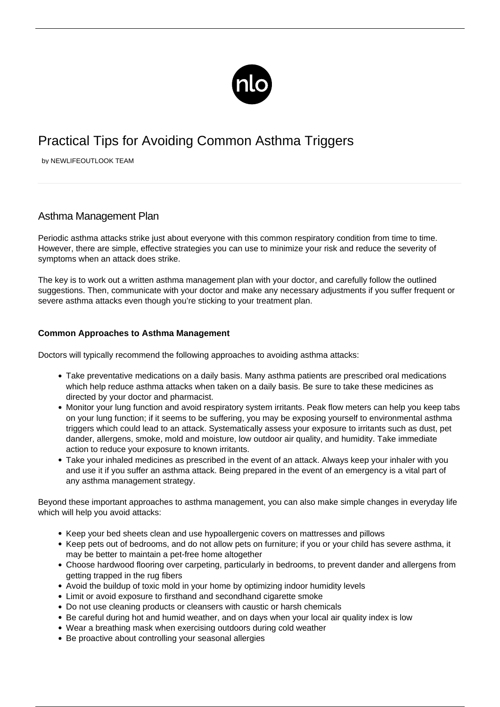

## Practical Tips for Avoiding Common Asthma Triggers

by NEWLIFEOUTLOOK TEAM

## Asthma Management Plan

Periodic asthma attacks strike just about everyone with this common respiratory condition from time to time. However, there are simple, effective strategies you can use to minimize your risk and reduce the severity of symptoms when an attack does strike.

The key is to work out a written asthma management plan with your doctor, and carefully follow the outlined suggestions. Then, communicate with your doctor and make any necessary adjustments if you suffer frequent or severe asthma attacks even though you're sticking to your treatment plan.

## **Common Approaches to Asthma Management**

Doctors will typically recommend the following approaches to avoiding asthma attacks:

- Take preventative medications on a daily basis. Many asthma patients are prescribed oral medications which help reduce asthma attacks when taken on a daily basis. Be sure to take these medicines as directed by your doctor and pharmacist.
- Monitor your lung function and avoid respiratory system irritants. Peak flow meters can help you keep tabs on your lung function; if it seems to be suffering, you may be exposing yourself to environmental asthma triggers which could lead to an attack. Systematically assess your exposure to irritants such as dust, pet dander, allergens, smoke, mold and moisture, low outdoor air quality, and humidity. Take immediate action to reduce your exposure to known irritants.
- Take your inhaled medicines as prescribed in the event of an attack. Always keep your inhaler with you and use it if you suffer an asthma attack. Being prepared in the event of an emergency is a vital part of any asthma management strategy.

Beyond these important approaches to asthma management, you can also make simple changes in everyday life which will help you avoid attacks:

- Keep your bed sheets clean and use hypoallergenic covers on mattresses and pillows
- Keep pets out of bedrooms, and do not allow pets on furniture; if you or your child has severe asthma, it may be better to maintain a pet-free home altogether
- Choose hardwood flooring over carpeting, particularly in bedrooms, to prevent dander and allergens from getting trapped in the rug fibers
- Avoid the buildup of toxic mold in your home by optimizing indoor humidity levels
- Limit or avoid exposure to firsthand and secondhand cigarette smoke
- Do not use cleaning products or cleansers with caustic or harsh chemicals
- Be careful during hot and humid weather, and on days when your local air quality index is low
- Wear a breathing mask when exercising outdoors during cold weather
- Be proactive about controlling your seasonal allergies